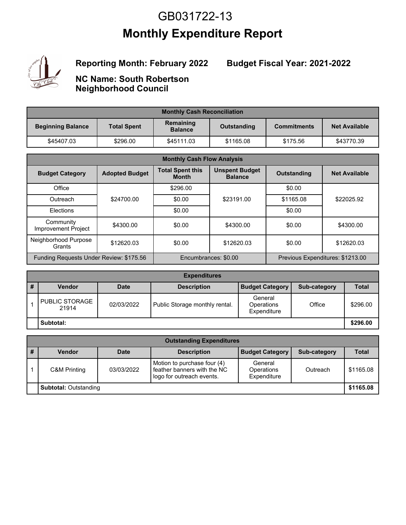## **Monthly Expenditure Report** GB031722-13



**Reporting Month: February 2022**

#### **Budget Fiscal Year: 2021-2022**

**NC Name: South Robertson Neighborhood Council**

| <b>Monthly Cash Reconciliation</b> |                    |                             |             |                    |                      |  |  |
|------------------------------------|--------------------|-----------------------------|-------------|--------------------|----------------------|--|--|
| <b>Beginning Balance</b>           | <b>Total Spent</b> | Remaining<br><b>Balance</b> | Outstanding | <b>Commitments</b> | <b>Net Available</b> |  |  |
| \$45407.03                         | \$296.00           | \$45111.03                  | \$1165.08   | \$175.56           | \$43770.39           |  |  |

| <b>Monthly Cash Flow Analysis</b>       |                       |                                         |                                         |                                            |                                  |  |
|-----------------------------------------|-----------------------|-----------------------------------------|-----------------------------------------|--------------------------------------------|----------------------------------|--|
| <b>Budget Category</b>                  | <b>Adopted Budget</b> | <b>Total Spent this</b><br><b>Month</b> | <b>Unspent Budget</b><br><b>Balance</b> | <b>Outstanding</b><br><b>Net Available</b> |                                  |  |
| Office                                  |                       | \$296.00                                |                                         | \$0.00                                     |                                  |  |
| Outreach                                | \$24700.00            | \$0.00                                  | \$23191.00                              | \$1165.08                                  | \$22025.92                       |  |
| <b>Flections</b>                        |                       | \$0.00                                  |                                         | \$0.00                                     |                                  |  |
| Community<br><b>Improvement Project</b> | \$4300.00             | \$0.00                                  | \$4300.00                               | \$0.00                                     | \$4300.00                        |  |
| Neighborhood Purpose<br>Grants          | \$12620.03            | \$0.00                                  | \$12620.03                              | \$0.00                                     | \$12620.03                       |  |
| Funding Requests Under Review: \$175.56 |                       |                                         | Encumbrances: \$0.00                    |                                            | Previous Expenditures: \$1213.00 |  |

| <b>Expenditures</b> |                                |             |                                |                                      |              |              |
|---------------------|--------------------------------|-------------|--------------------------------|--------------------------------------|--------------|--------------|
| л.<br>#             | <b>Vendor</b>                  | <b>Date</b> | <b>Description</b>             | <b>Budget Category</b>               | Sub-category | <b>Total</b> |
|                     | <b>PUBLIC STORAGE</b><br>21914 | 02/03/2022  | Public Storage monthly rental. | General<br>Operations<br>Expenditure | Office       | \$296.00     |
|                     | Subtotal:                      |             |                                |                                      |              | \$296.00     |

| <b>Outstanding Expenditures</b> |                              |             |                                                                                         |                                      |              |              |
|---------------------------------|------------------------------|-------------|-----------------------------------------------------------------------------------------|--------------------------------------|--------------|--------------|
|                                 | Vendor                       | <b>Date</b> | <b>Description</b>                                                                      | <b>Budget Category</b>               | Sub-category | <b>Total</b> |
|                                 | C&M Printing                 | 03/03/2022  | Motion to purchase four (4)<br>feather banners with the NC<br>logo for outreach events. | General<br>Operations<br>Expenditure | Outreach     | \$1165.08    |
|                                 | <b>Subtotal: Outstanding</b> |             |                                                                                         |                                      |              | \$1165.08    |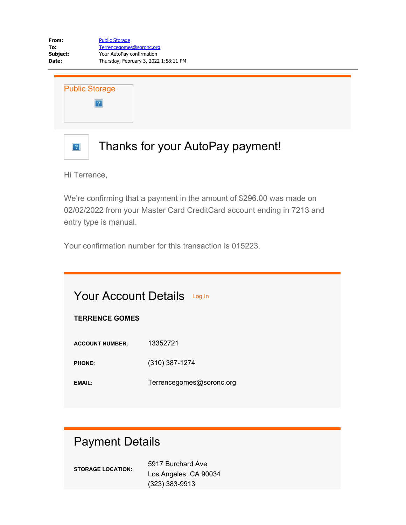Public Storage  $\overline{?}$ 

### Thanks for your AutoPay payment!

Hi Terrence,

 $\boxed{?}$ 

We're confirming that a payment in the amount of \$296.00 was made on 02/02/2022 from your Master Card CreditCard account ending in 7213 and entry type is manual.

Your confirmation number for this transaction is 015223.

| <b>TERRENCE GOMES</b>  | <b>Your Account Details</b> Log In |  |  |
|------------------------|------------------------------------|--|--|
| <b>ACCOUNT NUMBER:</b> | 13352721                           |  |  |
| <b>PHONE:</b>          | $(310)$ 387-1274                   |  |  |
| EMAIL:                 | Terrencegomes@soronc.org           |  |  |

#### Payment Details

| <b>STORAGE LOCATION:</b> | 5917 Burchard Ave     |  |  |  |
|--------------------------|-----------------------|--|--|--|
|                          | Los Angeles, CA 90034 |  |  |  |
|                          | $(323)$ 383-9913      |  |  |  |